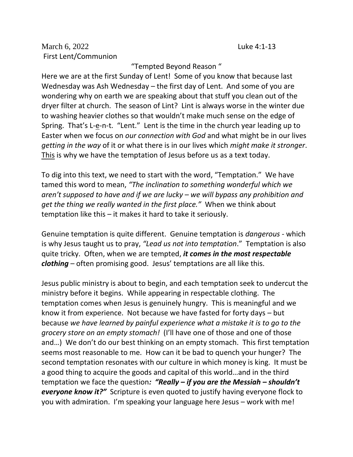March 6, 2022 Luke 4:1-13 First Lent/Communion

## "Tempted Beyond Reason "

Here we are at the first Sunday of Lent! Some of you know that because last Wednesday was Ash Wednesday – the first day of Lent. And some of you are wondering why on earth we are speaking about that stuff you clean out of the dryer filter at church. The season of Lint? Lint is always worse in the winter due to washing heavier clothes so that wouldn't make much sense on the edge of Spring. That's L-e-n-t. "Lent." Lent is the time in the church year leading up to Easter when we focus on *our connection with God* and what might be in our lives *getting in the way* of it or what there is in our lives which *might make it stronger*. This is why we have the temptation of Jesus before us as a text today.

To dig into this text, we need to start with the word, "Temptation." We have tamed this word to mean, *"The inclination to something wonderful which we aren't supposed to have and if we are lucky – we will bypass any prohibition and get the thing we really wanted in the first place."* When we think about temptation like this – it makes it hard to take it seriously.

Genuine temptation is quite different. Genuine temptation is *dangerous* - which is why Jesus taught us to pray, *"Lead us not into temptation*." Temptation is also quite tricky. Often, when we are tempted, *it comes in the most respectable clothing* – often promising good. Jesus' temptations are all like this.

Jesus public ministry is about to begin, and each temptation seek to undercut the ministry before it begins. While appearing in respectable clothing. The temptation comes when Jesus is genuinely hungry. This is meaningful and we know it from experience. Not because we have fasted for forty days – but because *we have learned by painful experience what a mistake it is to go to the grocery store on an empty stomach!* (I'll have one of those and one of those and…) We don't do our best thinking on an empty stomach. This first temptation seems most reasonable to me. How can it be bad to quench your hunger? The second temptation resonates with our culture in which money is king. It must be a good thing to acquire the goods and capital of this world…and in the third temptation we face the question*: "Really – if you are the Messiah – shouldn't everyone know it?"* Scripture is even quoted to justify having everyone flock to you with admiration. I'm speaking your language here Jesus – work with me!